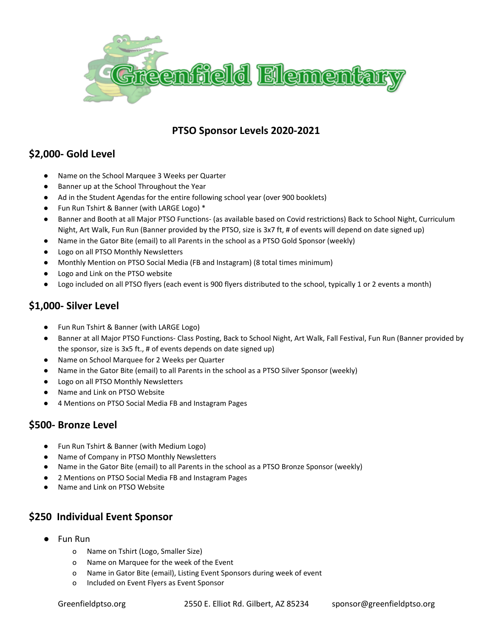

#### **PTSO Sponsor Levels 2020-2021**

### **\$2,000- Gold Level**

- Name on the School Marquee 3 Weeks per Quarter
- Banner up at the School Throughout the Year
- Ad in the Student Agendas for the entire following school year (over 900 booklets)
- Fun Run Tshirt & Banner (with LARGE Logo) \*
- Banner and Booth at all Major PTSO Functions- (as available based on Covid restrictions) Back to School Night, Curriculum Night, Art Walk, Fun Run (Banner provided by the PTSO, size is 3x7 ft, # of events will depend on date signed up)
- Name in the Gator Bite (email) to all Parents in the school as a PTSO Gold Sponsor (weekly)
- Logo on all PTSO Monthly Newsletters
- Monthly Mention on PTSO Social Media (FB and Instagram) (8 total times minimum)
- Logo and Link on the PTSO website
- Logo included on all PTSO flyers (each event is 900 flyers distributed to the school, typically 1 or 2 events a month)

## **\$1,000- Silver Level**

- Fun Run Tshirt & Banner (with LARGE Logo)
- Banner at all Major PTSO Functions- Class Posting, Back to School Night, Art Walk, Fall Festival, Fun Run (Banner provided by the sponsor, size is 3x5 ft., # of events depends on date signed up)
- Name on School Marquee for 2 Weeks per Quarter
- Name in the Gator Bite (email) to all Parents in the school as a PTSO Silver Sponsor (weekly)
- Logo on all PTSO Monthly Newsletters
- Name and Link on PTSO Website
- 4 Mentions on PTSO Social Media FB and Instagram Pages

#### **\$500- Bronze Level**

- Fun Run Tshirt & Banner (with Medium Logo)
- Name of Company in PTSO Monthly Newsletters
- Name in the Gator Bite (email) to all Parents in the school as a PTSO Bronze Sponsor (weekly)
- 2 Mentions on PTSO Social Media FB and Instagram Pages
- Name and Link on PTSO Website

#### **\$250 Individual Event Sponsor**

- Fun Run
	- o Name on Tshirt (Logo, Smaller Size)
	- o Name on Marquee for the week of the Event
	- o Name in Gator Bite (email), Listing Event Sponsors during week of event
	- o Included on Event Flyers as Event Sponsor